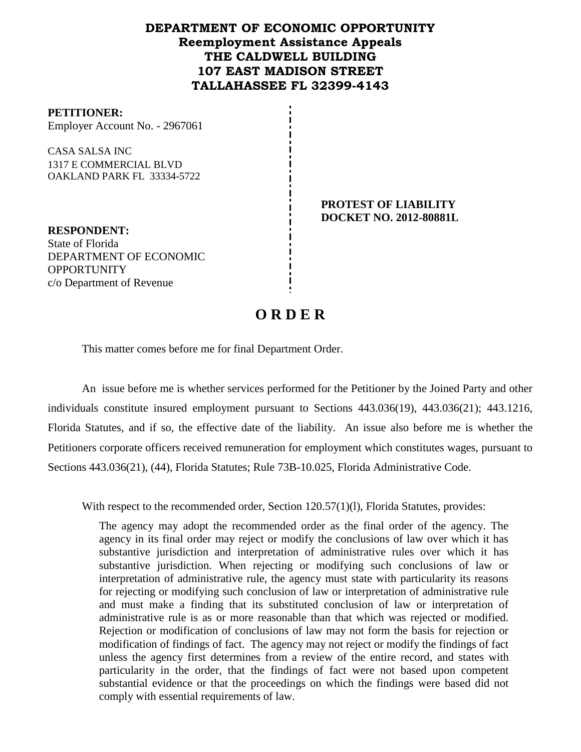## **DEPARTMENT OF ECONOMIC OPPORTUNITY Reemployment Assistance Appeals THE CALDWELL BUILDING 107 EAST MADISON STREET TALLAHASSEE FL 32399-4143**

#### **PETITIONER:**

Employer Account No. - 2967061

CASA SALSA INC 1317 E COMMERCIAL BLVD OAKLAND PARK FL 33334-5722

> **PROTEST OF LIABILITY DOCKET NO. 2012-80881L**

**RESPONDENT:** State of Florida DEPARTMENT OF ECONOMIC **OPPORTUNITY** c/o Department of Revenue

# **O R D E R**

This matter comes before me for final Department Order.

An issue before me is whether services performed for the Petitioner by the Joined Party and other individuals constitute insured employment pursuant to Sections 443.036(19), 443.036(21); 443.1216, Florida Statutes, and if so, the effective date of the liability. An issue also before me is whether the Petitioners corporate officers received remuneration for employment which constitutes wages, pursuant to Sections 443.036(21), (44), Florida Statutes; Rule 73B-10.025, Florida Administrative Code.

With respect to the recommended order, Section 120.57(1)(1), Florida Statutes, provides:

The agency may adopt the recommended order as the final order of the agency. The agency in its final order may reject or modify the conclusions of law over which it has substantive jurisdiction and interpretation of administrative rules over which it has substantive jurisdiction. When rejecting or modifying such conclusions of law or interpretation of administrative rule, the agency must state with particularity its reasons for rejecting or modifying such conclusion of law or interpretation of administrative rule and must make a finding that its substituted conclusion of law or interpretation of administrative rule is as or more reasonable than that which was rejected or modified. Rejection or modification of conclusions of law may not form the basis for rejection or modification of findings of fact. The agency may not reject or modify the findings of fact unless the agency first determines from a review of the entire record, and states with particularity in the order, that the findings of fact were not based upon competent substantial evidence or that the proceedings on which the findings were based did not comply with essential requirements of law.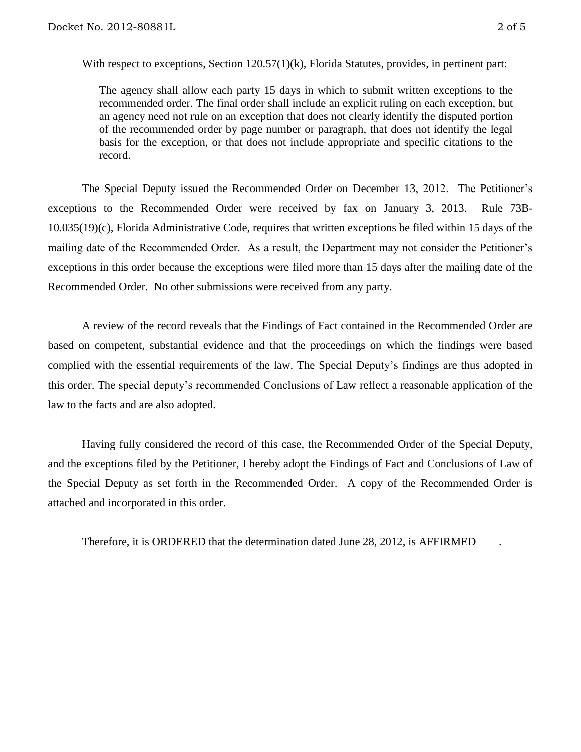With respect to exceptions, Section 120.57(1)(k), Florida Statutes, provides, in pertinent part:

The agency shall allow each party 15 days in which to submit written exceptions to the recommended order. The final order shall include an explicit ruling on each exception, but an agency need not rule on an exception that does not clearly identify the disputed portion of the recommended order by page number or paragraph, that does not identify the legal basis for the exception, or that does not include appropriate and specific citations to the record.

The Special Deputy issued the Recommended Order on December 13, 2012. The Petitioner's exceptions to the Recommended Order were received by fax on January 3, 2013. Rule 73B-10.035(19)(c), Florida Administrative Code, requires that written exceptions be filed within 15 days of the mailing date of the Recommended Order. As a result, the Department may not consider the Petitioner's exceptions in this order because the exceptions were filed more than 15 days after the mailing date of the Recommended Order. No other submissions were received from any party.

A review of the record reveals that the Findings of Fact contained in the Recommended Order are based on competent, substantial evidence and that the proceedings on which the findings were based complied with the essential requirements of the law. The Special Deputy's findings are thus adopted in this order. The special deputy's recommended Conclusions of Law reflect a reasonable application of the law to the facts and are also adopted.

Having fully considered the record of this case, the Recommended Order of the Special Deputy, and the exceptions filed by the Petitioner, I hereby adopt the Findings of Fact and Conclusions of Law of the Special Deputy as set forth in the Recommended Order. A copy of the Recommended Order is attached and incorporated in this order.

Therefore, it is ORDERED that the determination dated June 28, 2012, is AFFIRMED .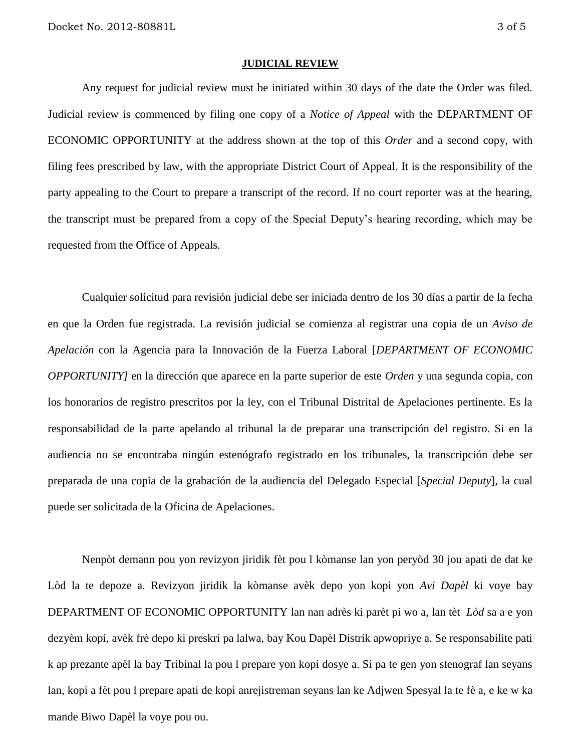#### **JUDICIAL REVIEW**

Any request for judicial review must be initiated within 30 days of the date the Order was filed. Judicial review is commenced by filing one copy of a *Notice of Appeal* with the DEPARTMENT OF ECONOMIC OPPORTUNITY at the address shown at the top of this *Order* and a second copy, with filing fees prescribed by law, with the appropriate District Court of Appeal. It is the responsibility of the party appealing to the Court to prepare a transcript of the record. If no court reporter was at the hearing, the transcript must be prepared from a copy of the Special Deputy's hearing recording, which may be requested from the Office of Appeals.

Cualquier solicitud para revisión judicial debe ser iniciada dentro de los 30 días a partir de la fecha en que la Orden fue registrada. La revisión judicial se comienza al registrar una copia de un *Aviso de Apelación* con la Agencia para la Innovación de la Fuerza Laboral [*DEPARTMENT OF ECONOMIC OPPORTUNITY]* en la dirección que aparece en la parte superior de este *Orden* y una segunda copia, con los honorarios de registro prescritos por la ley, con el Tribunal Distrital de Apelaciones pertinente. Es la responsabilidad de la parte apelando al tribunal la de preparar una transcripción del registro. Si en la audiencia no se encontraba ningún estenógrafo registrado en los tribunales, la transcripción debe ser preparada de una copia de la grabación de la audiencia del Delegado Especial [*Special Deputy*], la cual puede ser solicitada de la Oficina de Apelaciones.

Nenpòt demann pou yon revizyon jiridik fèt pou l kòmanse lan yon peryòd 30 jou apati de dat ke Lòd la te depoze a. Revizyon jiridik la kòmanse avèk depo yon kopi yon *Avi Dapèl* ki voye bay DEPARTMENT OF ECONOMIC OPPORTUNITY lan nan adrès ki parèt pi wo a, lan tèt *Lòd* sa a e yon dezyèm kopi, avèk frè depo ki preskri pa lalwa, bay Kou Dapèl Distrik apwopriye a. Se responsabilite pati k ap prezante apèl la bay Tribinal la pou l prepare yon kopi dosye a. Si pa te gen yon stenograf lan seyans lan, kopi a fèt pou l prepare apati de kopi anrejistreman seyans lan ke Adjwen Spesyal la te fè a, e ke w ka mande Biwo Dapèl la voye pou ou.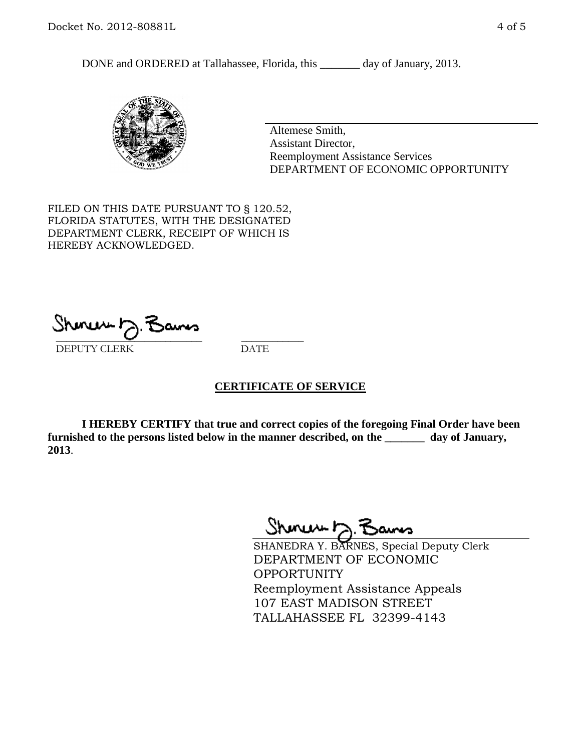DONE and ORDERED at Tallahassee, Florida, this \_\_\_\_\_\_\_ day of January, 2013.



Altemese Smith, Assistant Director, Reemployment Assistance Services DEPARTMENT OF ECONOMIC OPPORTUNITY

FILED ON THIS DATE PURSUANT TO § 120.52, FLORIDA STATUTES, WITH THE DESIGNATED DEPARTMENT CLERK, RECEIPT OF WHICH IS HEREBY ACKNOWLEDGED.

 $\overline{\phantom{a}}$  ,  $\overline{\phantom{a}}$  ,  $\overline{\phantom{a}}$  ,  $\overline{\phantom{a}}$  ,  $\overline{\phantom{a}}$  ,  $\overline{\phantom{a}}$  ,  $\overline{\phantom{a}}$  ,  $\overline{\phantom{a}}$  ,  $\overline{\phantom{a}}$  ,  $\overline{\phantom{a}}$  ,  $\overline{\phantom{a}}$  ,  $\overline{\phantom{a}}$  ,  $\overline{\phantom{a}}$  ,  $\overline{\phantom{a}}$  ,  $\overline{\phantom{a}}$  ,  $\overline{\phantom{a}}$ DEPUTY CLERK DATE

## **CERTIFICATE OF SERVICE**

**I HEREBY CERTIFY that true and correct copies of the foregoing Final Order have been furnished to the persons listed below in the manner described, on the \_\_\_\_\_\_\_ day of January, 2013**.

Shoner D. Bans

SHANEDRA Y. BARNES, Special Deputy Clerk DEPARTMENT OF ECONOMIC OPPORTUNITY Reemployment Assistance Appeals 107 EAST MADISON STREET TALLAHASSEE FL 32399-4143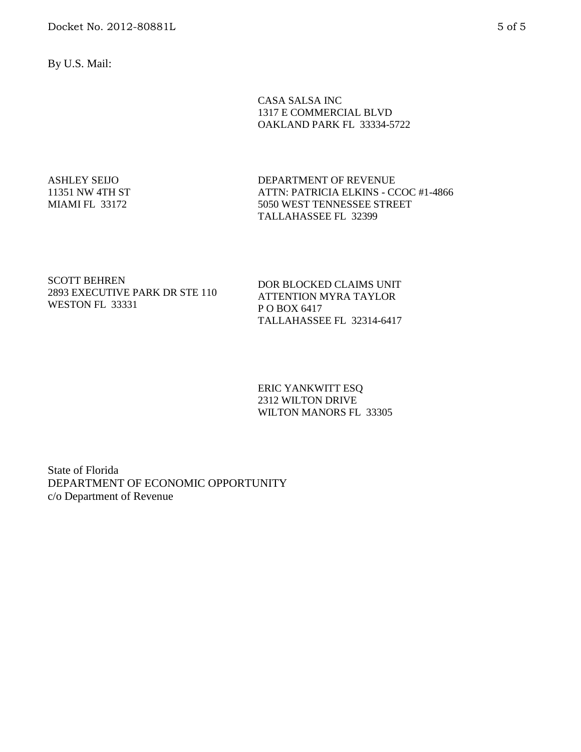By U.S. Mail:

CASA SALSA INC 1317 E COMMERCIAL BLVD OAKLAND PARK FL 33334-5722

ASHLEY SEIJO 11351 NW 4TH ST MIAMI FL 33172

DEPARTMENT OF REVENUE ATTN: PATRICIA ELKINS - CCOC #1-4866 5050 WEST TENNESSEE STREET TALLAHASSEE FL 32399

#### SCOTT BEHREN 2893 EXECUTIVE PARK DR STE 110 WESTON FL 33331

DOR BLOCKED CLAIMS UNIT ATTENTION MYRA TAYLOR P O BOX 6417 TALLAHASSEE FL 32314-6417

ERIC YANKWITT ESQ 2312 WILTON DRIVE WILTON MANORS FL 33305

State of Florida DEPARTMENT OF ECONOMIC OPPORTUNITY c/o Department of Revenue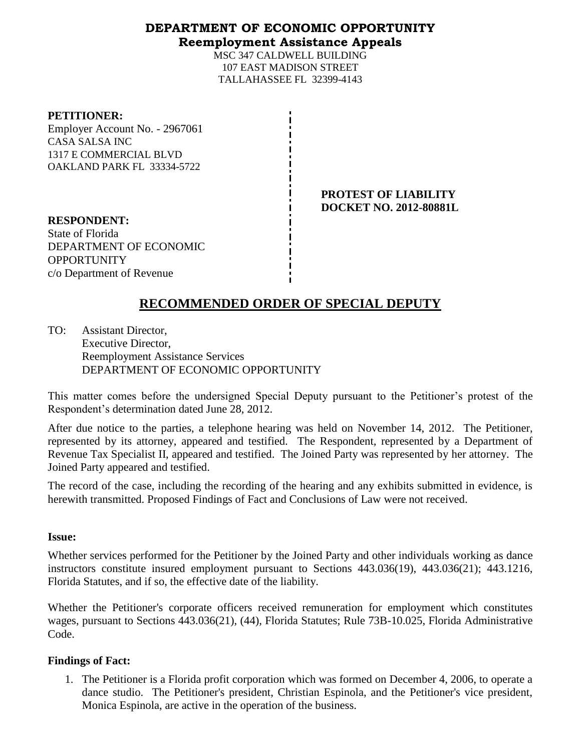## **DEPARTMENT OF ECONOMIC OPPORTUNITY Reemployment Assistance Appeals**

MSC 347 CALDWELL BUILDING 107 EAST MADISON STREET TALLAHASSEE FL 32399-4143

#### **PETITIONER:**

Employer Account No. - 2967061 CASA SALSA INC 1317 E COMMERCIAL BLVD OAKLAND PARK FL 33334-5722

> **PROTEST OF LIABILITY DOCKET NO. 2012-80881L**

**RESPONDENT:** State of Florida DEPARTMENT OF ECONOMIC OPPORTUNITY c/o Department of Revenue

# **RECOMMENDED ORDER OF SPECIAL DEPUTY**

TO: Assistant Director, Executive Director, Reemployment Assistance Services DEPARTMENT OF ECONOMIC OPPORTUNITY

This matter comes before the undersigned Special Deputy pursuant to the Petitioner's protest of the Respondent's determination dated June 28, 2012.

After due notice to the parties, a telephone hearing was held on November 14, 2012. The Petitioner, represented by its attorney, appeared and testified. The Respondent, represented by a Department of Revenue Tax Specialist II, appeared and testified. The Joined Party was represented by her attorney. The Joined Party appeared and testified.

The record of the case, including the recording of the hearing and any exhibits submitted in evidence, is herewith transmitted. Proposed Findings of Fact and Conclusions of Law were not received.

## **Issue:**

Whether services performed for the Petitioner by the Joined Party and other individuals working as dance instructors constitute insured employment pursuant to Sections 443.036(19), 443.036(21); 443.1216, Florida Statutes, and if so, the effective date of the liability.

Whether the Petitioner's corporate officers received remuneration for employment which constitutes wages, pursuant to Sections 443.036(21), (44), Florida Statutes; Rule 73B-10.025, Florida Administrative Code.

## **Findings of Fact:**

1. The Petitioner is a Florida profit corporation which was formed on December 4, 2006, to operate a dance studio. The Petitioner's president, Christian Espinola, and the Petitioner's vice president, Monica Espinola, are active in the operation of the business.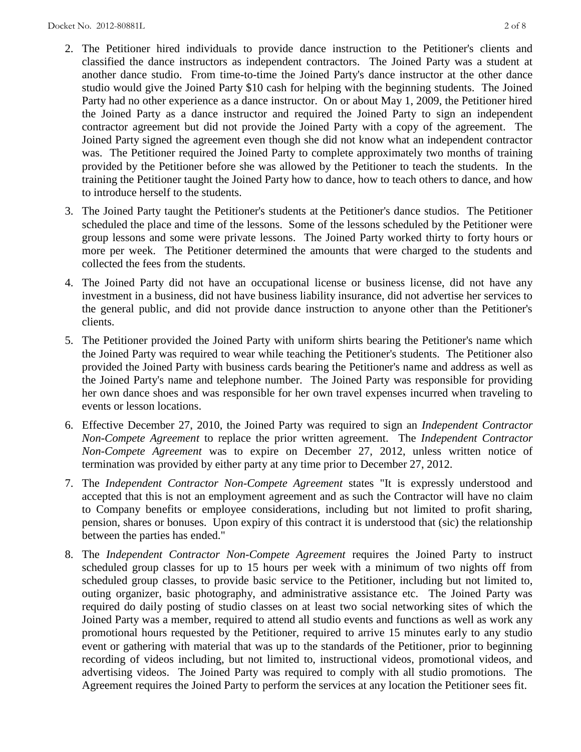- 2. The Petitioner hired individuals to provide dance instruction to the Petitioner's clients and classified the dance instructors as independent contractors. The Joined Party was a student at another dance studio. From time-to-time the Joined Party's dance instructor at the other dance studio would give the Joined Party \$10 cash for helping with the beginning students. The Joined Party had no other experience as a dance instructor. On or about May 1, 2009, the Petitioner hired the Joined Party as a dance instructor and required the Joined Party to sign an independent contractor agreement but did not provide the Joined Party with a copy of the agreement. The Joined Party signed the agreement even though she did not know what an independent contractor was. The Petitioner required the Joined Party to complete approximately two months of training provided by the Petitioner before she was allowed by the Petitioner to teach the students. In the training the Petitioner taught the Joined Party how to dance, how to teach others to dance, and how to introduce herself to the students.
- 3. The Joined Party taught the Petitioner's students at the Petitioner's dance studios. The Petitioner scheduled the place and time of the lessons. Some of the lessons scheduled by the Petitioner were group lessons and some were private lessons. The Joined Party worked thirty to forty hours or more per week. The Petitioner determined the amounts that were charged to the students and collected the fees from the students.
- 4. The Joined Party did not have an occupational license or business license, did not have any investment in a business, did not have business liability insurance, did not advertise her services to the general public, and did not provide dance instruction to anyone other than the Petitioner's clients.
- 5. The Petitioner provided the Joined Party with uniform shirts bearing the Petitioner's name which the Joined Party was required to wear while teaching the Petitioner's students. The Petitioner also provided the Joined Party with business cards bearing the Petitioner's name and address as well as the Joined Party's name and telephone number. The Joined Party was responsible for providing her own dance shoes and was responsible for her own travel expenses incurred when traveling to events or lesson locations.
- 6. Effective December 27, 2010, the Joined Party was required to sign an *Independent Contractor Non-Compete Agreement* to replace the prior written agreement. The *Independent Contractor Non-Compete Agreement* was to expire on December 27, 2012, unless written notice of termination was provided by either party at any time prior to December 27, 2012.
- 7. The *Independent Contractor Non-Compete Agreement* states "It is expressly understood and accepted that this is not an employment agreement and as such the Contractor will have no claim to Company benefits or employee considerations, including but not limited to profit sharing, pension, shares or bonuses. Upon expiry of this contract it is understood that (sic) the relationship between the parties has ended."
- 8. The *Independent Contractor Non-Compete Agreement* requires the Joined Party to instruct scheduled group classes for up to 15 hours per week with a minimum of two nights off from scheduled group classes, to provide basic service to the Petitioner, including but not limited to, outing organizer, basic photography, and administrative assistance etc. The Joined Party was required do daily posting of studio classes on at least two social networking sites of which the Joined Party was a member, required to attend all studio events and functions as well as work any promotional hours requested by the Petitioner, required to arrive 15 minutes early to any studio event or gathering with material that was up to the standards of the Petitioner, prior to beginning recording of videos including, but not limited to, instructional videos, promotional videos, and advertising videos. The Joined Party was required to comply with all studio promotions. The Agreement requires the Joined Party to perform the services at any location the Petitioner sees fit.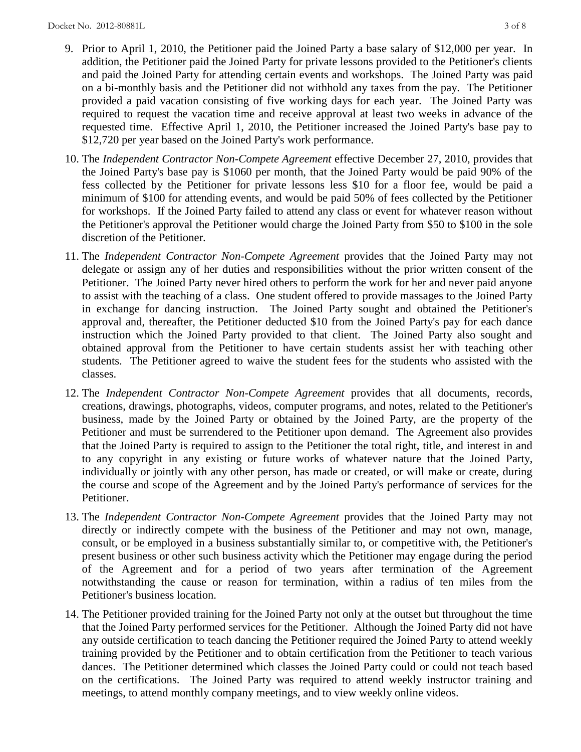- 9. Prior to April 1, 2010, the Petitioner paid the Joined Party a base salary of \$12,000 per year. In addition, the Petitioner paid the Joined Party for private lessons provided to the Petitioner's clients and paid the Joined Party for attending certain events and workshops. The Joined Party was paid on a bi-monthly basis and the Petitioner did not withhold any taxes from the pay. The Petitioner provided a paid vacation consisting of five working days for each year. The Joined Party was required to request the vacation time and receive approval at least two weeks in advance of the requested time. Effective April 1, 2010, the Petitioner increased the Joined Party's base pay to \$12,720 per year based on the Joined Party's work performance.
- 10. The *Independent Contractor Non-Compete Agreement* effective December 27, 2010, provides that the Joined Party's base pay is \$1060 per month, that the Joined Party would be paid 90% of the fess collected by the Petitioner for private lessons less \$10 for a floor fee, would be paid a minimum of \$100 for attending events, and would be paid 50% of fees collected by the Petitioner for workshops. If the Joined Party failed to attend any class or event for whatever reason without the Petitioner's approval the Petitioner would charge the Joined Party from \$50 to \$100 in the sole discretion of the Petitioner.
- 11. The *Independent Contractor Non-Compete Agreement* provides that the Joined Party may not delegate or assign any of her duties and responsibilities without the prior written consent of the Petitioner. The Joined Party never hired others to perform the work for her and never paid anyone to assist with the teaching of a class. One student offered to provide massages to the Joined Party in exchange for dancing instruction. The Joined Party sought and obtained the Petitioner's approval and, thereafter, the Petitioner deducted \$10 from the Joined Party's pay for each dance instruction which the Joined Party provided to that client. The Joined Party also sought and obtained approval from the Petitioner to have certain students assist her with teaching other students. The Petitioner agreed to waive the student fees for the students who assisted with the classes.
- 12. The *Independent Contractor Non-Compete Agreement* provides that all documents, records, creations, drawings, photographs, videos, computer programs, and notes, related to the Petitioner's business, made by the Joined Party or obtained by the Joined Party, are the property of the Petitioner and must be surrendered to the Petitioner upon demand. The Agreement also provides that the Joined Party is required to assign to the Petitioner the total right, title, and interest in and to any copyright in any existing or future works of whatever nature that the Joined Party, individually or jointly with any other person, has made or created, or will make or create, during the course and scope of the Agreement and by the Joined Party's performance of services for the Petitioner.
- 13. The *Independent Contractor Non-Compete Agreement* provides that the Joined Party may not directly or indirectly compete with the business of the Petitioner and may not own, manage, consult, or be employed in a business substantially similar to, or competitive with, the Petitioner's present business or other such business activity which the Petitioner may engage during the period of the Agreement and for a period of two years after termination of the Agreement notwithstanding the cause or reason for termination, within a radius of ten miles from the Petitioner's business location.
- 14. The Petitioner provided training for the Joined Party not only at the outset but throughout the time that the Joined Party performed services for the Petitioner. Although the Joined Party did not have any outside certification to teach dancing the Petitioner required the Joined Party to attend weekly training provided by the Petitioner and to obtain certification from the Petitioner to teach various dances. The Petitioner determined which classes the Joined Party could or could not teach based on the certifications. The Joined Party was required to attend weekly instructor training and meetings, to attend monthly company meetings, and to view weekly online videos.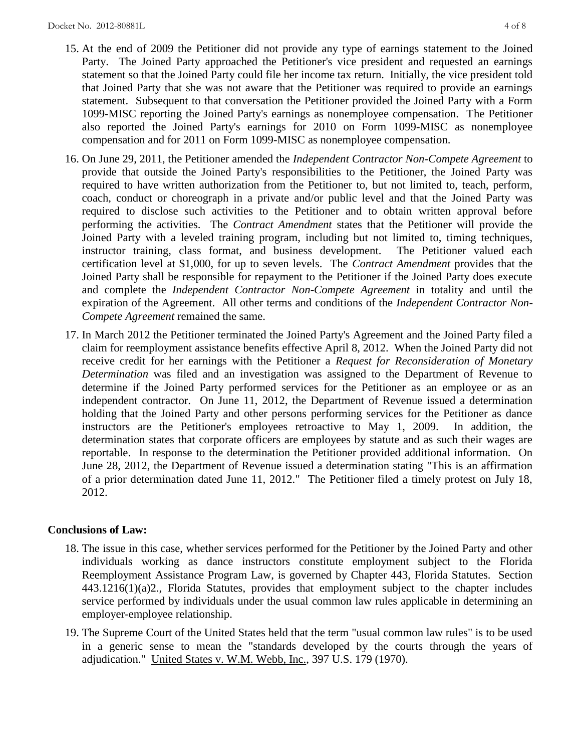- 15. At the end of 2009 the Petitioner did not provide any type of earnings statement to the Joined Party. The Joined Party approached the Petitioner's vice president and requested an earnings statement so that the Joined Party could file her income tax return. Initially, the vice president told that Joined Party that she was not aware that the Petitioner was required to provide an earnings statement. Subsequent to that conversation the Petitioner provided the Joined Party with a Form 1099-MISC reporting the Joined Party's earnings as nonemployee compensation. The Petitioner also reported the Joined Party's earnings for 2010 on Form 1099-MISC as nonemployee compensation and for 2011 on Form 1099-MISC as nonemployee compensation.
- 16. On June 29, 2011, the Petitioner amended the *Independent Contractor Non-Compete Agreement* to provide that outside the Joined Party's responsibilities to the Petitioner, the Joined Party was required to have written authorization from the Petitioner to, but not limited to, teach, perform, coach, conduct or choreograph in a private and/or public level and that the Joined Party was required to disclose such activities to the Petitioner and to obtain written approval before performing the activities. The *Contract Amendment* states that the Petitioner will provide the Joined Party with a leveled training program, including but not limited to, timing techniques, instructor training, class format, and business development. The Petitioner valued each certification level at \$1,000, for up to seven levels. The *Contract Amendment* provides that the Joined Party shall be responsible for repayment to the Petitioner if the Joined Party does execute and complete the *Independent Contractor Non-Compete Agreement* in totality and until the expiration of the Agreement. All other terms and conditions of the *Independent Contractor Non-Compete Agreement* remained the same.
- 17. In March 2012 the Petitioner terminated the Joined Party's Agreement and the Joined Party filed a claim for reemployment assistance benefits effective April 8, 2012. When the Joined Party did not receive credit for her earnings with the Petitioner a *Request for Reconsideration of Monetary Determination* was filed and an investigation was assigned to the Department of Revenue to determine if the Joined Party performed services for the Petitioner as an employee or as an independent contractor. On June 11, 2012, the Department of Revenue issued a determination holding that the Joined Party and other persons performing services for the Petitioner as dance instructors are the Petitioner's employees retroactive to May 1, 2009. In addition, the determination states that corporate officers are employees by statute and as such their wages are reportable. In response to the determination the Petitioner provided additional information. On June 28, 2012, the Department of Revenue issued a determination stating "This is an affirmation of a prior determination dated June 11, 2012." The Petitioner filed a timely protest on July 18, 2012.

## **Conclusions of Law:**

- 18. The issue in this case, whether services performed for the Petitioner by the Joined Party and other individuals working as dance instructors constitute employment subject to the Florida Reemployment Assistance Program Law, is governed by Chapter 443, Florida Statutes. Section 443.1216(1)(a)2., Florida Statutes, provides that employment subject to the chapter includes service performed by individuals under the usual common law rules applicable in determining an employer-employee relationship.
- 19. The Supreme Court of the United States held that the term "usual common law rules" is to be used in a generic sense to mean the "standards developed by the courts through the years of adjudication." United States v. W.M. Webb, Inc., 397 U.S. 179 (1970).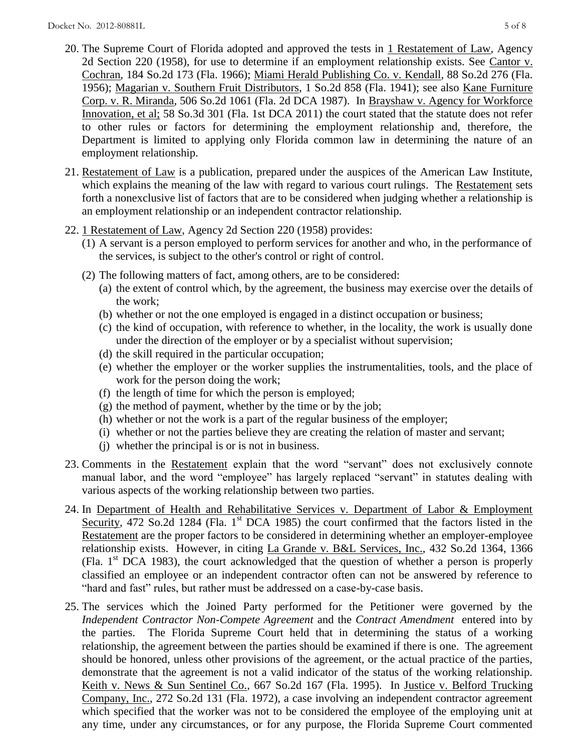- 20. The Supreme Court of Florida adopted and approved the tests in 1 Restatement of Law, Agency 2d Section 220 (1958), for use to determine if an employment relationship exists. See Cantor v. Cochran, 184 So.2d 173 (Fla. 1966); Miami Herald Publishing Co. v. Kendall, 88 So.2d 276 (Fla. 1956); Magarian v. Southern Fruit Distributors, 1 So.2d 858 (Fla. 1941); see also Kane Furniture Corp. v. R. Miranda, 506 So.2d 1061 (Fla. 2d DCA 1987). In Brayshaw v. Agency for Workforce Innovation, et al; 58 So.3d 301 (Fla. 1st DCA 2011) the court stated that the statute does not refer to other rules or factors for determining the employment relationship and, therefore, the Department is limited to applying only Florida common law in determining the nature of an employment relationship.
- 21. Restatement of Law is a publication, prepared under the auspices of the American Law Institute, which explains the meaning of the law with regard to various court rulings. The Restatement sets forth a nonexclusive list of factors that are to be considered when judging whether a relationship is an employment relationship or an independent contractor relationship.
- 22. 1 Restatement of Law, Agency 2d Section 220 (1958) provides:
	- (1) A servant is a person employed to perform services for another and who, in the performance of the services, is subject to the other's control or right of control.
	- (2) The following matters of fact, among others, are to be considered:
		- (a) the extent of control which, by the agreement, the business may exercise over the details of the work;
		- (b) whether or not the one employed is engaged in a distinct occupation or business;
		- (c) the kind of occupation, with reference to whether, in the locality, the work is usually done under the direction of the employer or by a specialist without supervision;
		- (d) the skill required in the particular occupation;
		- (e) whether the employer or the worker supplies the instrumentalities, tools, and the place of work for the person doing the work;
		- (f) the length of time for which the person is employed;
		- (g) the method of payment, whether by the time or by the job;
		- (h) whether or not the work is a part of the regular business of the employer;
		- (i) whether or not the parties believe they are creating the relation of master and servant;
		- (j) whether the principal is or is not in business.
- 23. Comments in the Restatement explain that the word "servant" does not exclusively connote manual labor, and the word "employee" has largely replaced "servant" in statutes dealing with various aspects of the working relationship between two parties.
- 24. In Department of Health and Rehabilitative Services v. Department of Labor & Employment Security, 472 So.2d 1284 (Fla. 1<sup>st</sup> DCA 1985) the court confirmed that the factors listed in the Restatement are the proper factors to be considered in determining whether an employer-employee relationship exists. However, in citing La Grande v. B&L Services, Inc., 432 So.2d 1364, 1366 (Fla.  $1<sup>st</sup> DCA$  1983), the court acknowledged that the question of whether a person is properly classified an employee or an independent contractor often can not be answered by reference to "hard and fast" rules, but rather must be addressed on a case-by-case basis.
- 25. The services which the Joined Party performed for the Petitioner were governed by the *Independent Contractor Non-Compete Agreement* and the *Contract Amendment* entered into by the parties. The Florida Supreme Court held that in determining the status of a working relationship, the agreement between the parties should be examined if there is one. The agreement should be honored, unless other provisions of the agreement, or the actual practice of the parties, demonstrate that the agreement is not a valid indicator of the status of the working relationship. Keith v. News & Sun Sentinel Co., 667 So.2d 167 (Fla. 1995). In Justice v. Belford Trucking Company, Inc., 272 So.2d 131 (Fla. 1972), a case involving an independent contractor agreement which specified that the worker was not to be considered the employee of the employing unit at any time, under any circumstances, or for any purpose, the Florida Supreme Court commented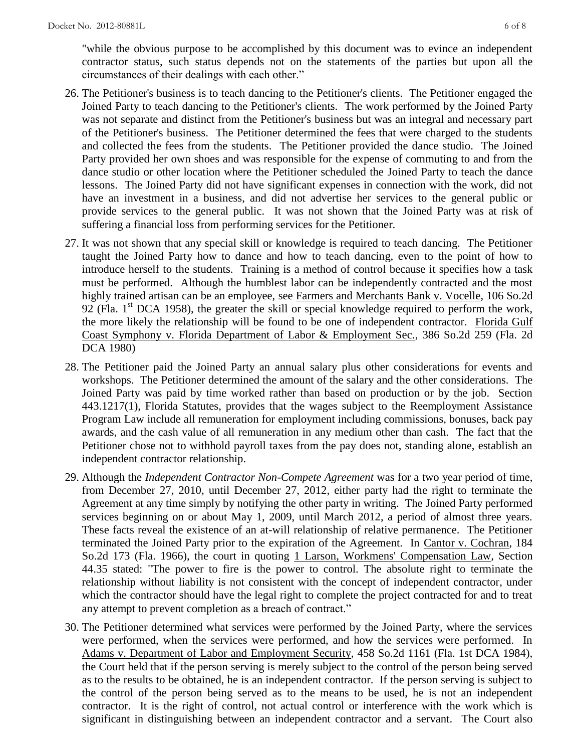"while the obvious purpose to be accomplished by this document was to evince an independent contractor status, such status depends not on the statements of the parties but upon all the circumstances of their dealings with each other."

- 26. The Petitioner's business is to teach dancing to the Petitioner's clients. The Petitioner engaged the Joined Party to teach dancing to the Petitioner's clients. The work performed by the Joined Party was not separate and distinct from the Petitioner's business but was an integral and necessary part of the Petitioner's business. The Petitioner determined the fees that were charged to the students and collected the fees from the students. The Petitioner provided the dance studio. The Joined Party provided her own shoes and was responsible for the expense of commuting to and from the dance studio or other location where the Petitioner scheduled the Joined Party to teach the dance lessons. The Joined Party did not have significant expenses in connection with the work, did not have an investment in a business, and did not advertise her services to the general public or provide services to the general public. It was not shown that the Joined Party was at risk of suffering a financial loss from performing services for the Petitioner.
- 27. It was not shown that any special skill or knowledge is required to teach dancing. The Petitioner taught the Joined Party how to dance and how to teach dancing, even to the point of how to introduce herself to the students. Training is a method of control because it specifies how a task must be performed. Although the humblest labor can be independently contracted and the most highly trained artisan can be an employee, see Farmers and Merchants Bank v. Vocelle, 106 So.2d 92 (Fla.  $1<sup>st</sup>$  DCA 1958), the greater the skill or special knowledge required to perform the work, the more likely the relationship will be found to be one of independent contractor. Florida Gulf Coast Symphony v. Florida Department of Labor & Employment Sec., 386 So.2d 259 (Fla. 2d DCA 1980)
- 28. The Petitioner paid the Joined Party an annual salary plus other considerations for events and workshops. The Petitioner determined the amount of the salary and the other considerations. The Joined Party was paid by time worked rather than based on production or by the job. Section 443.1217(1), Florida Statutes, provides that the wages subject to the Reemployment Assistance Program Law include all remuneration for employment including commissions, bonuses, back pay awards, and the cash value of all remuneration in any medium other than cash. The fact that the Petitioner chose not to withhold payroll taxes from the pay does not, standing alone, establish an independent contractor relationship.
- 29. Although the *Independent Contractor Non-Compete Agreement* was for a two year period of time, from December 27, 2010, until December 27, 2012, either party had the right to terminate the Agreement at any time simply by notifying the other party in writing. The Joined Party performed services beginning on or about May 1, 2009, until March 2012, a period of almost three years. These facts reveal the existence of an at-will relationship of relative permanence. The Petitioner terminated the Joined Party prior to the expiration of the Agreement. In Cantor v. Cochran, 184 So.2d 173 (Fla. 1966), the court in quoting 1 Larson, Workmens' Compensation Law, Section 44.35 stated: "The power to fire is the power to control. The absolute right to terminate the relationship without liability is not consistent with the concept of independent contractor, under which the contractor should have the legal right to complete the project contracted for and to treat any attempt to prevent completion as a breach of contract."
- 30. The Petitioner determined what services were performed by the Joined Party, where the services were performed, when the services were performed, and how the services were performed. In Adams v. Department of Labor and Employment Security, 458 So.2d 1161 (Fla. 1st DCA 1984), the Court held that if the person serving is merely subject to the control of the person being served as to the results to be obtained, he is an independent contractor. If the person serving is subject to the control of the person being served as to the means to be used, he is not an independent contractor. It is the right of control, not actual control or interference with the work which is significant in distinguishing between an independent contractor and a servant. The Court also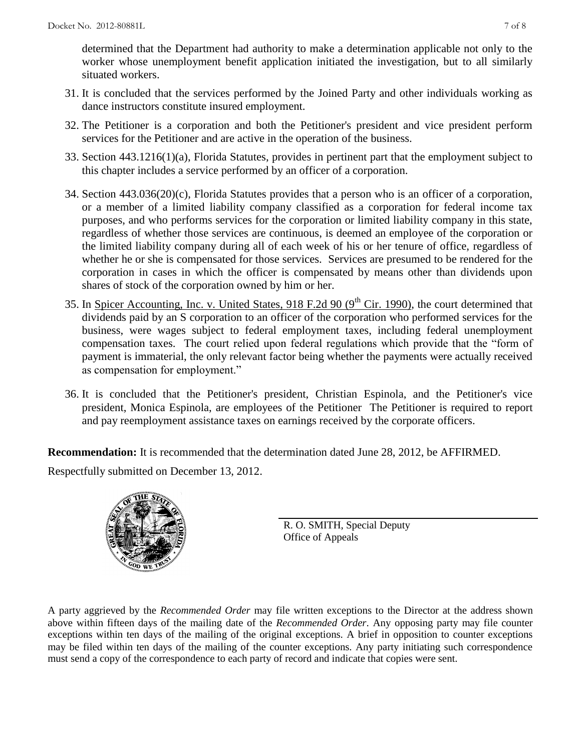determined that the Department had authority to make a determination applicable not only to the worker whose unemployment benefit application initiated the investigation, but to all similarly situated workers.

- 31. It is concluded that the services performed by the Joined Party and other individuals working as dance instructors constitute insured employment.
- 32. The Petitioner is a corporation and both the Petitioner's president and vice president perform services for the Petitioner and are active in the operation of the business.
- 33. Section 443.1216(1)(a), Florida Statutes, provides in pertinent part that the employment subject to this chapter includes a service performed by an officer of a corporation.
- 34. Section 443.036(20)(c), Florida Statutes provides that a person who is an officer of a corporation, or a member of a limited liability company classified as a corporation for federal income tax purposes, and who performs services for the corporation or limited liability company in this state, regardless of whether those services are continuous, is deemed an employee of the corporation or the limited liability company during all of each week of his or her tenure of office, regardless of whether he or she is compensated for those services. Services are presumed to be rendered for the corporation in cases in which the officer is compensated by means other than dividends upon shares of stock of the corporation owned by him or her.
- 35. In Spicer Accounting, Inc. v. United States, 918 F.2d 90 ( $9<sup>th</sup>$  Cir. 1990), the court determined that dividends paid by an S corporation to an officer of the corporation who performed services for the business, were wages subject to federal employment taxes, including federal unemployment compensation taxes. The court relied upon federal regulations which provide that the "form of payment is immaterial, the only relevant factor being whether the payments were actually received as compensation for employment."
- 36. It is concluded that the Petitioner's president, Christian Espinola, and the Petitioner's vice president, Monica Espinola, are employees of the Petitioner The Petitioner is required to report and pay reemployment assistance taxes on earnings received by the corporate officers.

**Recommendation:** It is recommended that the determination dated June 28, 2012, be AFFIRMED. Respectfully submitted on December 13, 2012.



R. O. SMITH, Special Deputy Office of Appeals

A party aggrieved by the *Recommended Order* may file written exceptions to the Director at the address shown above within fifteen days of the mailing date of the *Recommended Order*. Any opposing party may file counter exceptions within ten days of the mailing of the original exceptions. A brief in opposition to counter exceptions may be filed within ten days of the mailing of the counter exceptions. Any party initiating such correspondence must send a copy of the correspondence to each party of record and indicate that copies were sent.